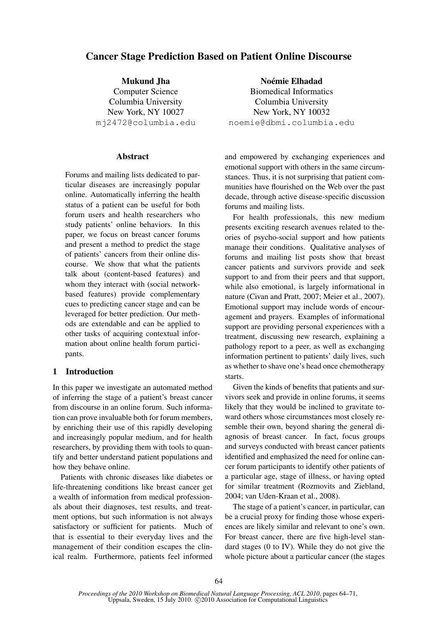# Cancer Stage Prediction Based on Patient Online Discourse

Mukund Jha Computer Science Columbia University New York, NY 10027 mj2472@columbia.edu

# Abstract

Forums and mailing lists dedicated to particular diseases are increasingly popular online. Automatically inferring the health status of a patient can be useful for both forum users and health researchers who study patients' online behaviors. In this paper, we focus on breast cancer forums and present a method to predict the stage of patients' cancers from their online discourse. We show that what the patients talk about (content-based features) and whom they interact with (social networkbased features) provide complementary cues to predicting cancer stage and can be leveraged for better prediction. Our methods are extendable and can be applied to other tasks of acquiring contextual information about online health forum participants.

# 1 Introduction

In this paper we investigate an automated method of inferring the stage of a patient's breast cancer from discourse in an online forum. Such information can prove invaluable both for forum members, by enriching their use of this rapidly developing and increasingly popular medium, and for health researchers, by providing them with tools to quantify and better understand patient populations and how they behave online.

Patients with chronic diseases like diabetes or life-threatening conditions like breast cancer get a wealth of information from medical professionals about their diagnoses, test results, and treatment options, but such information is not always satisfactory or sufficient for patients. Much of that is essential to their everyday lives and the management of their condition escapes the clinical realm. Furthermore, patients feel informed

Noémie Elhadad Biomedical Informatics Columbia University New York, NY 10032 noemie@dbmi.columbia.edu

and empowered by exchanging experiences and emotional support with others in the same circumstances. Thus, it is not surprising that patient communities have flourished on the Web over the past decade, through active disease-specific discussion forums and mailing lists.

For health professionals, this new medium presents exciting research avenues related to theories of psycho-social support and how patients manage their conditions. Qualitative analyses of forums and mailing list posts show that breast cancer patients and survivors provide and seek support to and from their peers and that support, while also emotional, is largely informational in nature (Civan and Pratt, 2007; Meier et al., 2007). Emotional support may include words of encouragement and prayers. Examples of informational support are providing personal experiences with a treatment, discussing new research, explaining a pathology report to a peer, as well as exchanging information pertinent to patients' daily lives, such as whether to shave one's head once chemotherapy starts.

Given the kinds of benefits that patients and survivors seek and provide in online forums, it seems likely that they would be inclined to gravitate toward others whose circumstances most closely resemble their own, beyond sharing the general diagnosis of breast cancer. In fact, focus groups and surveys conducted with breast cancer patients identified and emphasized the need for online cancer forum participants to identify other patients of a particular age, stage of illness, or having opted for similar treatment (Rozmovits and Ziebland, 2004; van Uden-Kraan et al., 2008).

The stage of a patient's cancer, in particular, can be a crucial proxy for finding those whose experiences are likely similar and relevant to one's own. For breast cancer, there are five high-level standard stages (0 to IV). While they do not give the whole picture about a particular cancer (the stages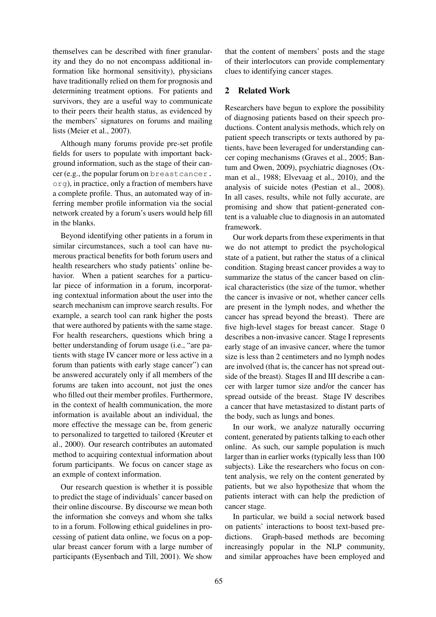themselves can be described with finer granularity and they do no not encompass additional information like hormonal sensitivity), physicians have traditionally relied on them for prognosis and determining treatment options. For patients and survivors, they are a useful way to communicate to their peers their health status, as evidenced by the members' signatures on forums and mailing lists (Meier et al., 2007).

Although many forums provide pre-set profile fields for users to populate with important background information, such as the stage of their cancer (e.g., the popular forum on breastcancer. org), in practice, only a fraction of members have a complete profile. Thus, an automated way of inferring member profile information via the social network created by a forum's users would help fill in the blanks.

Beyond identifying other patients in a forum in similar circumstances, such a tool can have numerous practical benefits for both forum users and health researchers who study patients' online behavior. When a patient searches for a particular piece of information in a forum, incorporating contextual information about the user into the search mechanism can improve search results. For example, a search tool can rank higher the posts that were authored by patients with the same stage. For health researchers, questions which bring a better understanding of forum usage (i.e., "are patients with stage IV cancer more or less active in a forum than patients with early stage cancer") can be answered accurately only if all members of the forums are taken into account, not just the ones who filled out their member profiles. Furthermore, in the context of health communication, the more information is available about an individual, the more effective the message can be, from generic to personalized to targetted to tailored (Kreuter et al., 2000). Our research contributes an automated method to acquiring contextual information about forum participants. We focus on cancer stage as an exmple of context information.

Our research question is whether it is possible to predict the stage of individuals' cancer based on their online discourse. By discourse we mean both the information she conveys and whom she talks to in a forum. Following ethical guidelines in processing of patient data online, we focus on a popular breast cancer forum with a large number of participants (Eysenbach and Till, 2001). We show

that the content of members' posts and the stage of their interlocutors can provide complementary clues to identifying cancer stages.

# 2 Related Work

Researchers have begun to explore the possibility of diagnosing patients based on their speech productions. Content analysis methods, which rely on patient speech transcripts or texts authored by patients, have been leveraged for understanding cancer coping mechanisms (Graves et al., 2005; Bantum and Owen, 2009), psychiatric diagnoses (Oxman et al., 1988; Elvevaag et al., 2010), and the analysis of suicide notes (Pestian et al., 2008). In all cases, results, while not fully accurate, are promising and show that patient-generated content is a valuable clue to diagnosis in an automated framework.

Our work departs from these experiments in that we do not attempt to predict the psychological state of a patient, but rather the status of a clinical condition. Staging breast cancer provides a way to summarize the status of the cancer based on clinical characteristics (the size of the tumor, whether the cancer is invasive or not, whether cancer cells are present in the lymph nodes, and whether the cancer has spread beyond the breast). There are five high-level stages for breast cancer. Stage 0 describes a non-invasive cancer. Stage I represents early stage of an invasive cancer, where the tumor size is less than 2 centimeters and no lymph nodes are involved (that is, the cancer has not spread outside of the breast). Stages II and III describe a cancer with larger tumor size and/or the cancer has spread outside of the breast. Stage IV describes a cancer that have metastasized to distant parts of the body, such as lungs and bones.

In our work, we analyze naturally occurring content, generated by patients talking to each other online. As such, our sample population is much larger than in earlier works (typically less than 100 subjects). Like the researchers who focus on content analysis, we rely on the content generated by patients, but we also hypothesize that whom the patients interact with can help the prediction of cancer stage.

In particular, we build a social network based on patients' interactions to boost text-based predictions. Graph-based methods are becoming increasingly popular in the NLP community, and similar approaches have been employed and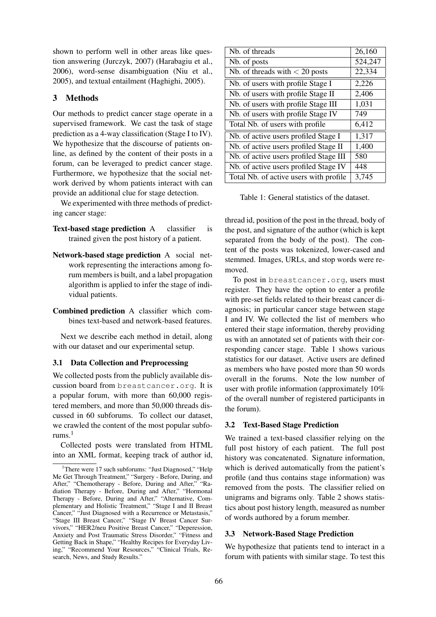shown to perform well in other areas like question answering (Jurczyk, 2007) (Harabagiu et al., 2006), word-sense disambiguation (Niu et al., 2005), and textual entailment (Haghighi, 2005).

# 3 Methods

Our methods to predict cancer stage operate in a supervised framework. We cast the task of stage prediction as a 4-way classification (Stage I to IV). We hypothesize that the discourse of patients online, as defined by the content of their posts in a forum, can be leveraged to predict cancer stage. Furthermore, we hypothesize that the social network derived by whom patients interact with can provide an additional clue for stage detection.

We experimented with three methods of predicting cancer stage:

- Text-based stage prediction A classifier is trained given the post history of a patient.
- Network-based stage prediction A social network representing the interactions among forum members is built, and a label propagation algorithm is applied to infer the stage of individual patients.

Combined prediction A classifier which combines text-based and network-based features.

Next we describe each method in detail, along with our dataset and our experimental setup.

#### 3.1 Data Collection and Preprocessing

We collected posts from the publicly available discussion board from breastcancer.org. It is a popular forum, with more than 60,000 registered members, and more than 50,000 threads discussed in 60 subforums. To collect our dataset, we crawled the content of the most popular subforums. $<sup>1</sup>$ </sup>

Collected posts were translated from HTML into an XML format, keeping track of author id,

| Nb. of threads                         | 26,160  |
|----------------------------------------|---------|
| Nb. of posts                           | 524,247 |
| Nb. of threads with $<$ 20 posts       | 22,334  |
| Nb. of users with profile Stage I      | 2,226   |
| Nb. of users with profile Stage II     | 2,406   |
| Nb. of users with profile Stage III    | 1,031   |
| Nb. of users with profile Stage IV     | 749     |
| Total Nb. of users with profile        | 6,412   |
| Nb. of active users profiled Stage I   | 1,317   |
| Nb. of active users profiled Stage II  | 1,400   |
| Nb. of active users profiled Stage III | 580     |
| Nb. of active users profiled Stage IV  | 448     |
| Total Nb. of active users with profile | 3,745   |

Table 1: General statistics of the dataset.

thread id, position of the post in the thread, body of the post, and signature of the author (which is kept separated from the body of the post). The content of the posts was tokenized, lower-cased and stemmed. Images, URLs, and stop words were removed.

To post in breastcancer.org, users must register. They have the option to enter a profile with pre-set fields related to their breast cancer diagnosis; in particular cancer stage between stage I and IV. We collected the list of members who entered their stage information, thereby providing us with an annotated set of patients with their corresponding cancer stage. Table 1 shows various statistics for our dataset. Active users are defined as members who have posted more than 50 words overall in the forums. Note the low number of user with profile information (approximately 10% of the overall number of registered participants in the forum).

#### 3.2 Text-Based Stage Prediction

We trained a text-based classifier relying on the full post history of each patient. The full post history was concatenated. Signature information, which is derived automatically from the patient's profile (and thus contains stage information) was removed from the posts. The classifier relied on unigrams and bigrams only. Table 2 shows statistics about post history length, measured as number of words authored by a forum member.

### 3.3 Network-Based Stage Prediction

We hypothesize that patients tend to interact in a forum with patients with similar stage. To test this

<sup>&</sup>lt;sup>1</sup>There were 17 such subforums: "Just Diagnosed," "Help Me Get Through Treatment," "Surgery - Before, During, and After," "Chemotherapy - Before, During and After," "Radiation Therapy - Before, During and After," "Hormonal Therapy - Before, During and After," "Alternative, Complementary and Holistic Treatment," "Stage I and II Breast Cancer," "Just Diagnosed with a Recurrence or Metastasis," "Stage III Breast Cancer," "Stage IV Breast Cancer Survivors," "HER2/neu Positive Breast Cancer," "Deperession, Anxiety and Post Traumatic Stress Disorder," "Fitness and Getting Back in Shape," "Healthy Recipes for Everyday Living," "Recommend Your Resources," "Clinical Trials, Research, News, and Study Results."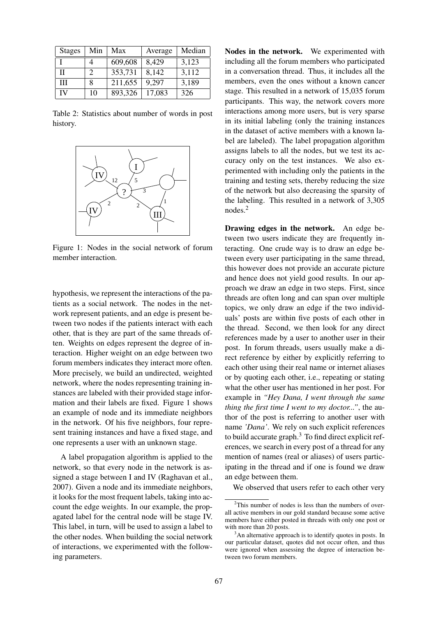| <b>Stages</b> | Min           | Max     | Average | Median |
|---------------|---------------|---------|---------|--------|
|               |               | 609,608 | 8,429   | 3,123  |
| Π             | $\mathcal{L}$ | 353,731 | 8,142   | 3,112  |
| Ш             | 8             | 211,655 | 9,297   | 3,189  |
| IV            | 10            | 893,326 | 17,083  | 326    |

Table 2: Statistics about number of words in post history.



Figure 1: Nodes in the social network of forum member interaction.

hypothesis, we represent the interactions of the patients as a social network. The nodes in the network represent patients, and an edge is present between two nodes if the patients interact with each other, that is they are part of the same threads often. Weights on edges represent the degree of interaction. Higher weight on an edge between two forum members indicates they interact more often. More precisely, we build an undirected, weighted network, where the nodes representing training instances are labeled with their provided stage information and their labels are fixed. Figure 1 shows an example of node and its immediate neighbors in the network. Of his five neighbors, four represent training instances and have a fixed stage, and one represents a user with an unknown stage.

A label propagation algorithm is applied to the network, so that every node in the network is assigned a stage between I and IV (Raghavan et al., 2007). Given a node and its immediate neighbors, it looks for the most frequent labels, taking into account the edge weights. In our example, the propagated label for the central node will be stage IV. This label, in turn, will be used to assign a label to the other nodes. When building the social network of interactions, we experimented with the following parameters.

Nodes in the network. We experimented with including all the forum members who participated in a conversation thread. Thus, it includes all the members, even the ones without a known cancer stage. This resulted in a network of 15,035 forum participants. This way, the network covers more interactions among more users, but is very sparse in its initial labeling (only the training instances in the dataset of active members with a known label are labeled). The label propagation algorithm assigns labels to all the nodes, but we test its accuracy only on the test instances. We also experimented with including only the patients in the training and testing sets, thereby reducing the size of the network but also decreasing the sparsity of the labeling. This resulted in a network of 3,305 nodes.<sup>2</sup>

Drawing edges in the network. An edge between two users indicate they are frequently interacting. One crude way is to draw an edge between every user participating in the same thread, this however does not provide an accurate picture and hence does not yield good results. In our approach we draw an edge in two steps. First, since threads are often long and can span over multiple topics, we only draw an edge if the two individuals' posts are within five posts of each other in the thread. Second, we then look for any direct references made by a user to another user in their post. In forum threads, users usually make a direct reference by either by explicitly referring to each other using their real name or internet aliases or by quoting each other, i.e., repeating or stating what the other user has mentioned in her post. For example in *"Hey Dana, I went through the same thing the first time I went to my doctor..."*, the author of the post is referring to another user with name *'Dana'*. We rely on such explicit references to build accurate graph. $3$  To find direct explicit references, we search in every post of a thread for any mention of names (real or aliases) of users participating in the thread and if one is found we draw an edge between them.

We observed that users refer to each other very

<sup>2</sup>This number of nodes is less than the numbers of overall active members in our gold standard because some active members have either posted in threads with only one post or with more than 20 posts.

 $3<sup>3</sup>$ An alternative approach is to identify quotes in posts. In our particular dataset, quotes did not occur often, and thus were ignored when assessing the degree of interaction between two forum members.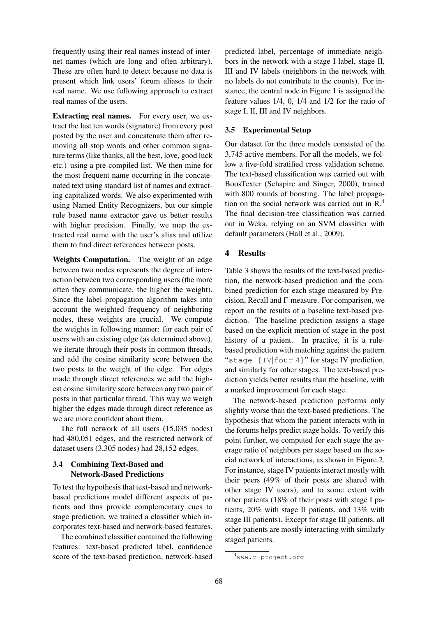frequently using their real names instead of internet names (which are long and often arbitrary). These are often hard to detect because no data is present which link users' forum aliases to their real name. We use following approach to extract real names of the users.

Extracting real names. For every user, we extract the last ten words (signature) from every post posted by the user and concatenate them after removing all stop words and other common signature terms (like thanks, all the best, love, good luck etc.) using a pre-compiled list. We then mine for the most frequent name occurring in the concatenated text using standard list of names and extracting capitalized words. We also experimented with using Named Entity Recognizers, but our simple rule based name extractor gave us better results with higher precision. Finally, we map the extracted real name with the user's alias and utilize them to find direct references between posts.

Weights Computation. The weight of an edge between two nodes represents the degree of interaction between two corresponding users (the more often they communicate, the higher the weight). Since the label propagation algorithm takes into account the weighted frequency of neighboring nodes, these weights are crucial. We compute the weights in following manner: for each pair of users with an existing edge (as determined above), we iterate through their posts in common threads, and add the cosine similarity score between the two posts to the weight of the edge. For edges made through direct references we add the highest cosine similarity score between any two pair of posts in that particular thread. This way we weigh higher the edges made through direct reference as we are more confident about them.

The full network of all users (15,035 nodes) had 480,051 edges, and the restricted network of dataset users (3,305 nodes) had 28,152 edges.

# 3.4 Combining Text-Based and Network-Based Predictions

To test the hypothesis that text-based and networkbased predictions model different aspects of patients and thus provide complementary cues to stage prediction, we trained a classifier which incorporates text-based and network-based features.

The combined classifier contained the following features: text-based predicted label, confidence score of the text-based prediction, network-based predicted label, percentage of immediate neighbors in the network with a stage I label, stage II, III and IV labels (neighbors in the network with no labels do not contribute to the counts). For instance, the central node in Figure 1 is assigned the feature values 1/4, 0, 1/4 and 1/2 for the ratio of stage I, II, III and IV neighbors.

# 3.5 Experimental Setup

Our dataset for the three models consisted of the 3,745 active members. For all the models, we follow a five-fold stratified cross validation scheme. The text-based classification was carried out with BoosTexter (Schapire and Singer, 2000), trained with 800 rounds of boosting. The label propagation on the social network was carried out in R.<sup>4</sup> The final decision-tree classification was carried out in Weka, relying on an SVM classifier with default parameters (Hall et al., 2009).

# 4 Results

Table 3 shows the results of the text-based prediction, the network-based prediction and the combined prediction for each stage measured by Precision, Recall and F-measure. For comparison, we report on the results of a baseline text-based prediction. The baseline prediction assigns a stage based on the explicit mention of stage in the post history of a patient. In practice, it is a rulebased prediction with matching against the pattern "stage [IV|four|4]" for stage IV prediction, and similarly for other stages. The text-based prediction yields better results than the baseline, with a marked improvement for each stage.

The network-based prediction performs only slightly worse than the text-based predictions. The hypothesis that whom the patient interacts with in the forums helps predict stage holds. To verify this point further, we computed for each stage the average ratio of neighbors per stage based on the social network of interactions, as shown in Figure 2. For instance, stage IV patients interact mostly with their peers (49% of their posts are shared with other stage IV users), and to some extent with other patients (18% of their posts with stage I patients, 20% with stage II patients, and 13% with stage III patients). Except for stage III patients, all other patients are mostly interacting with similarly staged patients.

<sup>4</sup>www.r-project.org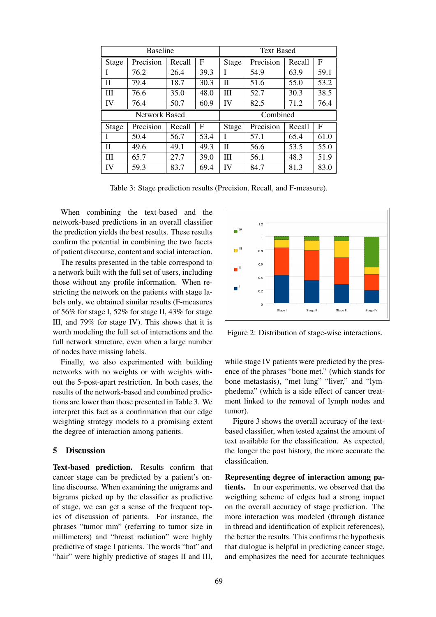| <b>Baseline</b> |                      |        | <b>Text Based</b> |              |           |        |      |
|-----------------|----------------------|--------|-------------------|--------------|-----------|--------|------|
| <b>Stage</b>    | Precision            | Recall | $\mathbf{F}$      | Stage        | Precision | Recall | F    |
| L               | 76.2                 | 26.4   | 39.3              |              | 54.9      | 63.9   | 59.1 |
| H               | 79.4                 | 18.7   | 30.3              | П            | 51.6      | 55.0   | 53.2 |
| Ш               | 76.6                 | 35.0   | 48.0              | Ш            | 52.7      | 30.3   | 38.5 |
| IV              | 76.4                 | 50.7   | 60.9              | IV           | 82.5      | 71.2   | 76.4 |
|                 |                      |        |                   |              |           |        |      |
|                 | <b>Network Based</b> |        |                   |              | Combined  |        |      |
| <b>Stage</b>    | Precision            | Recall | F                 | <b>Stage</b> | Precision | Recall | F    |
| I               | 50.4                 | 56.7   | 53.4              |              | 57.1      | 65.4   | 61.0 |
| П               | 49.6                 | 49.1   | 49.3              | Π            | 56.6      | 53.5   | 55.0 |
| Ш               | 65.7                 | 27.7   | 39.0              | Ш            | 56.1      | 48.3   | 51.9 |

Table 3: Stage prediction results (Precision, Recall, and F-measure).

When combining the text-based and the network-based predictions in an overall classifier the prediction yields the best results. These results confirm the potential in combining the two facets of patient discourse, content and social interaction.

The results presented in the table correspond to a network built with the full set of users, including those without any profile information. When restricting the network on the patients with stage labels only, we obtained similar results (F-measures of 56% for stage I, 52% for stage II, 43% for stage III, and 79% for stage IV). This shows that it is worth modeling the full set of interactions and the full network structure, even when a large number of nodes have missing labels.

Finally, we also experimented with building networks with no weights or with weights without the 5-post-apart restriction. In both cases, the results of the network-based and combined predictions are lower than those presented in Table 3. We interpret this fact as a confirmation that our edge weighting strategy models to a promising extent the degree of interaction among patients.

## 5 Discussion

Text-based prediction. Results confirm that cancer stage can be predicted by a patient's online discourse. When examining the unigrams and bigrams picked up by the classifier as predictive of stage, we can get a sense of the frequent topics of discussion of patients. For instance, the phrases "tumor mm" (referring to tumor size in millimeters) and "breast radiation" were highly predictive of stage I patients. The words "hat" and "hair" were highly predictive of stages II and III,



Figure 2: Distribution of stage-wise interactions.

while stage IV patients were predicted by the presence of the phrases "bone met." (which stands for bone metastasis), "met lung" "liver," and "lymphedema" (which is a side effect of cancer treatment linked to the removal of lymph nodes and tumor).

Figure 3 shows the overall accuracy of the textbased classifier, when tested against the amount of text available for the classification. As expected, the longer the post history, the more accurate the classification.

Representing degree of interaction among patients. In our experiments, we observed that the weigthing scheme of edges had a strong impact on the overall accuracy of stage prediction. The more interaction was modeled (through distance in thread and identification of explicit references), the better the results. This confirms the hypothesis that dialogue is helpful in predicting cancer stage, and emphasizes the need for accurate techniques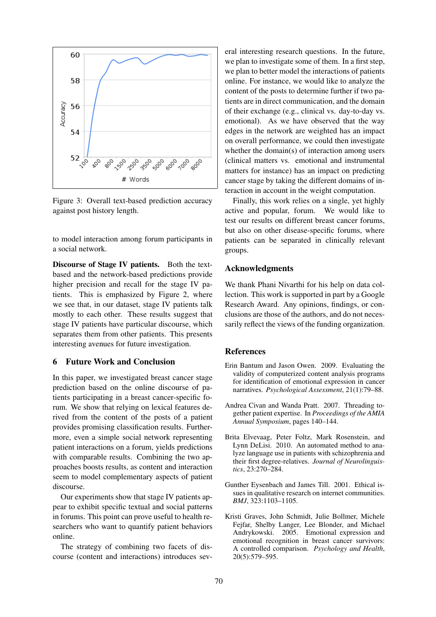

Figure 3: Overall text-based prediction accuracy against post history length.

to model interaction among forum participants in a social network.

Discourse of Stage IV patients. Both the textbased and the network-based predictions provide higher precision and recall for the stage IV patients. This is emphasized by Figure 2, where we see that, in our dataset, stage IV patients talk mostly to each other. These results suggest that stage IV patients have particular discourse, which separates them from other patients. This presents interesting avenues for future investigation.

## 6 Future Work and Conclusion

In this paper, we investigated breast cancer stage prediction based on the online discourse of patients participating in a breast cancer-specific forum. We show that relying on lexical features derived from the content of the posts of a patient provides promising classification results. Furthermore, even a simple social network representing patient interactions on a forum, yields predictions with comparable results. Combining the two approaches boosts results, as content and interaction seem to model complementary aspects of patient discourse.

Our experiments show that stage IV patients appear to exhibit specific textual and social patterns in forums. This point can prove useful to health researchers who want to quantify patient behaviors online.

The strategy of combining two facets of discourse (content and interactions) introduces sev-

eral interesting research questions. In the future, we plan to investigate some of them. In a first step, we plan to better model the interactions of patients online. For instance, we would like to analyze the content of the posts to determine further if two patients are in direct communication, and the domain of their exchange (e.g., clinical vs. day-to-day vs. emotional). As we have observed that the way edges in the network are weighted has an impact on overall performance, we could then investigate whether the domain(s) of interaction among users (clinical matters vs. emotional and instrumental matters for instance) has an impact on predicting cancer stage by taking the different domains of interaction in account in the weight computation.

Finally, this work relies on a single, yet highly active and popular, forum. We would like to test our results on different breast cancer forums, but also on other disease-specific forums, where patients can be separated in clinically relevant groups.

## Acknowledgments

We thank Phani Nivarthi for his help on data collection. This work is supported in part by a Google Research Award. Any opinions, findings, or conclusions are those of the authors, and do not necessarily reflect the views of the funding organization.

### **References**

- Erin Bantum and Jason Owen. 2009. Evaluating the validity of computerized content analysis programs for identification of emotional expression in cancer narratives. *Psychological Assessment*, 21(1):79–88.
- Andrea Civan and Wanda Pratt. 2007. Threading together patient expertise. In *Proceedings of the AMIA Annual Symposium*, pages 140–144.
- Brita Elvevaag, Peter Foltz, Mark Rosenstein, and Lynn DeLisi. 2010. An automated method to analyze language use in patients with schizophrenia and their first degree-relatives. *Journal of Neurolinguistics*, 23:270–284.
- Gunther Eysenbach and James Till. 2001. Ethical issues in qualitative research on internet communities. *BMJ*, 323:1103–1105.
- Kristi Graves, John Schmidt, Julie Bollmer, Michele Fejfar, Shelby Langer, Lee Blonder, and Michael Andrykowski. 2005. Emotional expression and emotional recognition in breast cancer survivors: A controlled comparison. *Psychology and Health*, 20(5):579–595.